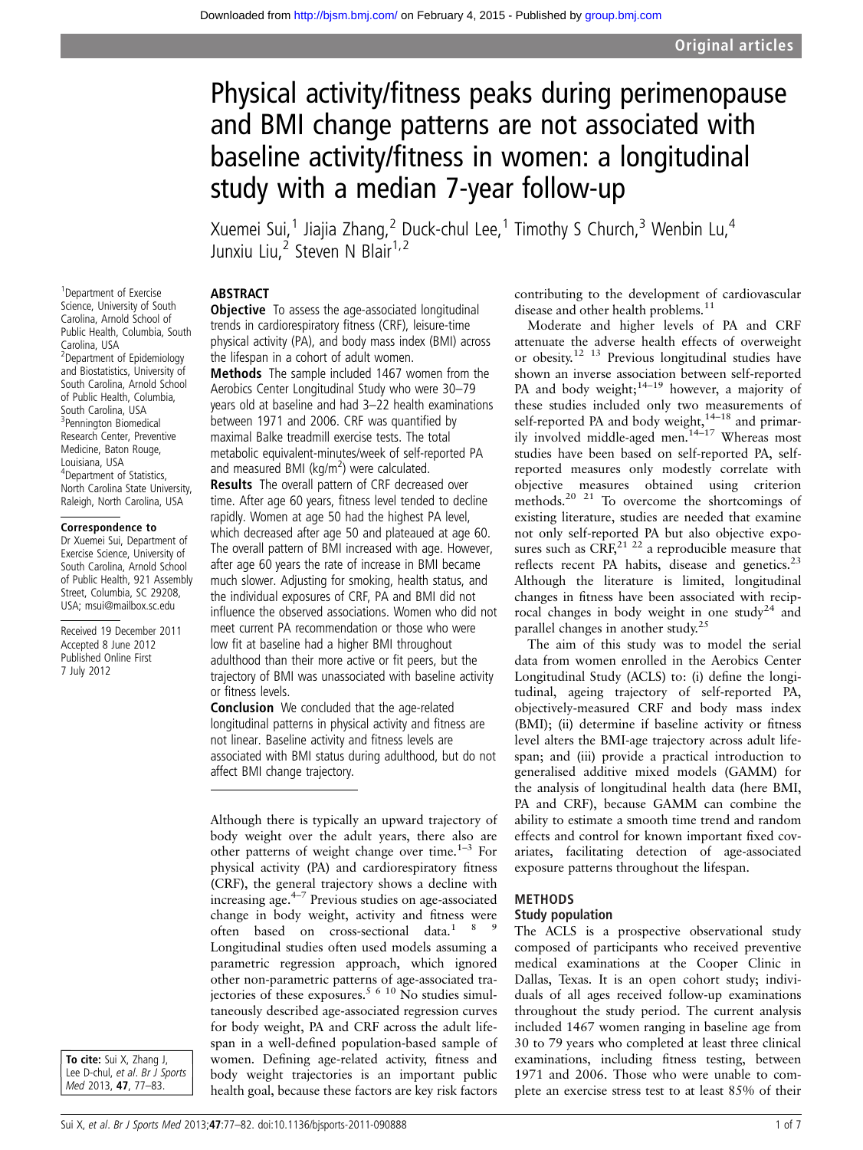# Physical activity/fitness peaks during perimenopause and BMI change patterns are not associated with baseline activity/fitness in women: a longitudinal study with a median 7-year follow-up

Xuemei Sui,<sup>1</sup> Jiajia Zhang,<sup>2</sup> Duck-chul Lee,<sup>1</sup> Timothy S Church,<sup>3</sup> Wenbin Lu,<sup>4</sup> Junxiu Liu,<sup>2</sup> Steven N Blair<sup>1,2</sup>

#### ABSTRACT

1 Department of Exercise Science, University of South Carolina, Arnold School of Public Health, Columbia, South Carolina, USA <sup>2</sup>Department of Epidemiology and Biostatistics, University of South Carolina, Arnold School of Public Health, Columbia, South Carolina, USA 3 Pennington Biomedical Research Center, Preventive Medicine, Baton Rouge, Louisiana, USA 4 Department of Statistics, North Carolina State University, Raleigh, North Carolina, USA

#### Correspondence to

Dr Xuemei Sui, Department of Exercise Science, University of South Carolina, Arnold School of Public Health, 921 Assembly Street, Columbia, SC 29208, USA; msui@mailbox.sc.edu

Received 19 December 2011 Accepted 8 June 2012 Published Online First 7 July 2012

**Objective** To assess the age-associated longitudinal trends in cardiorespiratory fitness (CRF), leisure-time physical activity (PA), and body mass index (BMI) across the lifespan in a cohort of adult women. Methods The sample included 1467 women from the Aerobics Center Longitudinal Study who were 30–79 years old at baseline and had 3–22 health examinations between 1971 and 2006. CRF was quantified by maximal Balke treadmill exercise tests. The total metabolic equivalent-minutes/week of self-reported PA and measured BMI (kg/m<sup>2</sup>) were calculated.

**Results** The overall pattern of CRF decreased over time. After age 60 years, fitness level tended to decline rapidly. Women at age 50 had the highest PA level, which decreased after age 50 and plateaued at age 60. The overall pattern of BMI increased with age. However, after age 60 years the rate of increase in BMI became much slower. Adjusting for smoking, health status, and the individual exposures of CRF, PA and BMI did not influence the observed associations. Women who did not meet current PA recommendation or those who were low fit at baseline had a higher BMI throughout adulthood than their more active or fit peers, but the trajectory of BMI was unassociated with baseline activity or fitness levels.

Conclusion We concluded that the age-related longitudinal patterns in physical activity and fitness are not linear. Baseline activity and fitness levels are associated with BMI status during adulthood, but do not affect BMI change trajectory.

Although there is typically an upward trajectory of body weight over the adult years, there also are other patterns of weight change over time.<sup>1-3</sup> For physical activity (PA) and cardiorespiratory fitness (CRF), the general trajectory shows a decline with increasing age.4–<sup>7</sup> Previous studies on age-associated change in body weight, activity and fitness were often based on cross-sectional data.<sup>189</sup> Longitudinal studies often used models assuming a parametric regression approach, which ignored other non-parametric patterns of age-associated trajectories of these exposures.<sup>5 6 10</sup> No studies simultaneously described age-associated regression curves for body weight, PA and CRF across the adult lifespan in a well-defined population-based sample of women. Defining age-related activity, fitness and body weight trajectories is an important public health goal, because these factors are key risk factors

contributing to the development of cardiovascular disease and other health problems.<sup>11</sup>

Moderate and higher levels of PA and CRF attenuate the adverse health effects of overweight or obesity.<sup>12 13</sup> Previous longitudinal studies have shown an inverse association between self-reported PA and body weight;<sup>14–19</sup> however, a majority of these studies included only two measurements of self-reported PA and body weight,<sup>14–18</sup> and primarily involved middle-aged men.<sup>14–17</sup> Whereas most studies have been based on self-reported PA, selfreported measures only modestly correlate with objective measures obtained using criterion methods. $20$   $21$  To overcome the shortcomings of existing literature, studies are needed that examine not only self-reported PA but also objective exposures such as  $CRF<sub>2</sub><sup>21</sup> 22$  a reproducible measure that reflects recent PA habits, disease and genetics.<sup>23</sup> Although the literature is limited, longitudinal changes in fitness have been associated with reciprocal changes in body weight in one study<sup>24</sup> and parallel changes in another study.<sup>25</sup>

The aim of this study was to model the serial data from women enrolled in the Aerobics Center Longitudinal Study (ACLS) to: (i) define the longitudinal, ageing trajectory of self-reported PA, objectively-measured CRF and body mass index (BMI); (ii) determine if baseline activity or fitness level alters the BMI-age trajectory across adult lifespan; and (iii) provide a practical introduction to generalised additive mixed models (GAMM) for the analysis of longitudinal health data (here BMI, PA and CRF), because GAMM can combine the ability to estimate a smooth time trend and random effects and control for known important fixed covariates, facilitating detection of age-associated exposure patterns throughout the lifespan.

#### METHODS

#### Study population

The ACLS is a prospective observational study composed of participants who received preventive medical examinations at the Cooper Clinic in Dallas, Texas. It is an open cohort study; individuals of all ages received follow-up examinations throughout the study period. The current analysis included 1467 women ranging in baseline age from 30 to 79 years who completed at least three clinical examinations, including fitness testing, between 1971 and 2006. Those who were unable to complete an exercise stress test to at least 85% of their

To cite: Sui X, Zhang J, Lee D-chul, et al. Br J Sports Med 2013, 47, 77–83.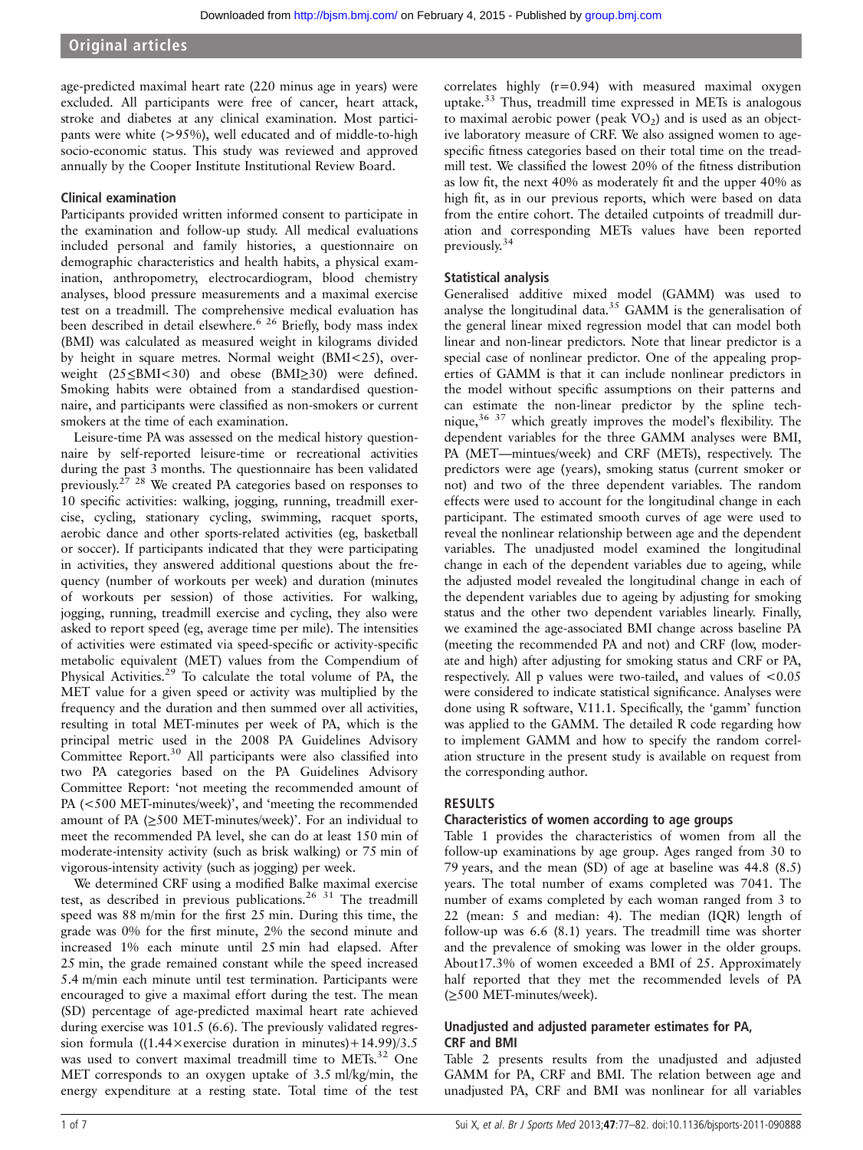age-predicted maximal heart rate (220 minus age in years) were excluded. All participants were free of cancer, heart attack, stroke and diabetes at any clinical examination. Most participants were white (>95%), well educated and of middle-to-high socio-economic status. This study was reviewed and approved annually by the Cooper Institute Institutional Review Board.

# Clinical examination

Participants provided written informed consent to participate in the examination and follow-up study. All medical evaluations included personal and family histories, a questionnaire on demographic characteristics and health habits, a physical examination, anthropometry, electrocardiogram, blood chemistry analyses, blood pressure measurements and a maximal exercise test on a treadmill. The comprehensive medical evaluation has been described in detail elsewhere.<sup>6 26</sup> Briefly, body mass index (BMI) was calculated as measured weight in kilograms divided by height in square metres. Normal weight (BMI<25), overweight (25≤BMI<30) and obese (BMI≥30) were defined. Smoking habits were obtained from a standardised questionnaire, and participants were classified as non-smokers or current smokers at the time of each examination.

Leisure-time PA was assessed on the medical history questionnaire by self-reported leisure-time or recreational activities during the past 3 months. The questionnaire has been validated previously.27 28 We created PA categories based on responses to 10 specific activities: walking, jogging, running, treadmill exercise, cycling, stationary cycling, swimming, racquet sports, aerobic dance and other sports-related activities (eg, basketball or soccer). If participants indicated that they were participating in activities, they answered additional questions about the frequency (number of workouts per week) and duration (minutes of workouts per session) of those activities. For walking, jogging, running, treadmill exercise and cycling, they also were asked to report speed (eg, average time per mile). The intensities of activities were estimated via speed-specific or activity-specific metabolic equivalent (MET) values from the Compendium of Physical Activities.<sup>29</sup> To calculate the total volume of PA, the MET value for a given speed or activity was multiplied by the frequency and the duration and then summed over all activities, resulting in total MET-minutes per week of PA, which is the principal metric used in the 2008 PA Guidelines Advisory Committee Report.<sup>30</sup> All participants were also classified into two PA categories based on the PA Guidelines Advisory Committee Report: 'not meeting the recommended amount of PA (<500 MET-minutes/week)', and 'meeting the recommended amount of PA (≥500 MET-minutes/week)'. For an individual to meet the recommended PA level, she can do at least 150 min of moderate-intensity activity (such as brisk walking) or 75 min of vigorous-intensity activity (such as jogging) per week.

We determined CRF using a modified Balke maximal exercise test, as described in previous publications.<sup>26 31</sup> The treadmill speed was 88 m/min for the first 25 min. During this time, the grade was 0% for the first minute, 2% the second minute and increased 1% each minute until 25 min had elapsed. After 25 min, the grade remained constant while the speed increased 5.4 m/min each minute until test termination. Participants were encouraged to give a maximal effort during the test. The mean (SD) percentage of age-predicted maximal heart rate achieved during exercise was 101.5 (6.6). The previously validated regression formula ((1.44×exercise duration in minutes)+14.99)/3.5 was used to convert maximal treadmill time to METs.<sup>32</sup> One MET corresponds to an oxygen uptake of 3.5 ml/kg/min, the energy expenditure at a resting state. Total time of the test

correlates highly  $(r=0.94)$  with measured maximal oxygen uptake.<sup>33</sup> Thus, treadmill time expressed in METs is analogous to maximal aerobic power (peak  $VO<sub>2</sub>$ ) and is used as an objective laboratory measure of CRF. We also assigned women to agespecific fitness categories based on their total time on the treadmill test. We classified the lowest 20% of the fitness distribution as low fit, the next 40% as moderately fit and the upper 40% as high fit, as in our previous reports, which were based on data from the entire cohort. The detailed cutpoints of treadmill duration and corresponding METs values have been reported previously.<sup>34</sup>

# Statistical analysis

Generalised additive mixed model (GAMM) was used to analyse the longitudinal data.<sup>35</sup> GAMM is the generalisation of the general linear mixed regression model that can model both linear and non-linear predictors. Note that linear predictor is a special case of nonlinear predictor. One of the appealing properties of GAMM is that it can include nonlinear predictors in the model without specific assumptions on their patterns and can estimate the non-linear predictor by the spline technique,36 37 which greatly improves the model's flexibility. The dependent variables for the three GAMM analyses were BMI, PA (MET—mintues/week) and CRF (METs), respectively. The predictors were age (years), smoking status (current smoker or not) and two of the three dependent variables. The random effects were used to account for the longitudinal change in each participant. The estimated smooth curves of age were used to reveal the nonlinear relationship between age and the dependent variables. The unadjusted model examined the longitudinal change in each of the dependent variables due to ageing, while the adjusted model revealed the longitudinal change in each of the dependent variables due to ageing by adjusting for smoking status and the other two dependent variables linearly. Finally, we examined the age-associated BMI change across baseline PA (meeting the recommended PA and not) and CRF (low, moderate and high) after adjusting for smoking status and CRF or PA, respectively. All p values were two-tailed, and values of <0.05 were considered to indicate statistical significance. Analyses were done using R software, V.11.1. Specifically, the 'gamm' function was applied to the GAMM. The detailed R code regarding how to implement GAMM and how to specify the random correlation structure in the present study is available on request from the corresponding author.

# RESULTS

#### Characteristics of women according to age groups

Table 1 provides the characteristics of women from all the follow-up examinations by age group. Ages ranged from 30 to 79 years, and the mean (SD) of age at baseline was 44.8 (8.5) years. The total number of exams completed was 7041. The number of exams completed by each woman ranged from 3 to 22 (mean: 5 and median: 4). The median (IQR) length of follow-up was 6.6 (8.1) years. The treadmill time was shorter and the prevalence of smoking was lower in the older groups. About17.3% of women exceeded a BMI of 25. Approximately half reported that they met the recommended levels of PA (≥500 MET-minutes/week).

# Unadjusted and adjusted parameter estimates for PA, CRF and BMI

Table 2 presents results from the unadjusted and adjusted GAMM for PA, CRF and BMI. The relation between age and unadjusted PA, CRF and BMI was nonlinear for all variables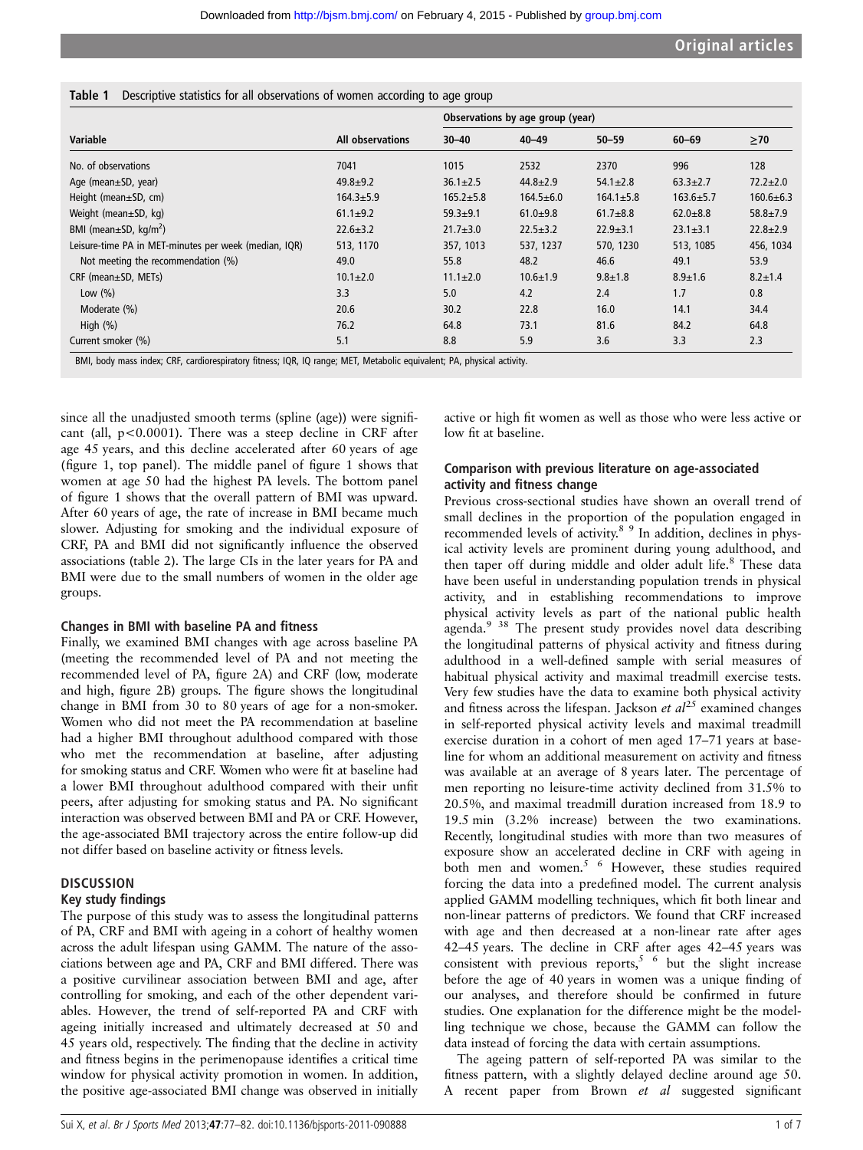|  |  |  | Table 1 Descriptive statistics for all observations of women according to age group |  |  |  |  |
|--|--|--|-------------------------------------------------------------------------------------|--|--|--|--|
|--|--|--|-------------------------------------------------------------------------------------|--|--|--|--|

|                                                       |                         | Observations by age group (year) |                 |                 |                 |                 |
|-------------------------------------------------------|-------------------------|----------------------------------|-----------------|-----------------|-----------------|-----------------|
| Variable                                              | <b>All observations</b> | $30 - 40$                        | $40 - 49$       | $50 - 59$       | $60 - 69$       | $\geq 70$       |
| No. of observations                                   | 7041                    | 1015                             | 2532            | 2370            | 996             | 128             |
| Age (mean $\pm$ SD, year)                             | $49.8 + 9.2$            | $36.1 \pm 2.5$                   | $44.8 \pm 2.9$  | $54.1 \pm 2.8$  | $63.3 \pm 2.7$  | $72.2 \pm 2.0$  |
| Height (mean±SD, cm)                                  | $164.3 + 5.9$           | $165.2 \pm 5.8$                  | $164.5 \pm 6.0$ | $164.1 \pm 5.8$ | $163.6 \pm 5.7$ | $160.6 \pm 6.3$ |
| Weight (mean±SD, kg)                                  | $61.1 \pm 9.2$          | $59.3 + 9.1$                     | $61.0 + 9.8$    | $61.7 + 8.8$    | $62.0 + 8.8$    | $58.8 \pm 7.9$  |
| BMI (mean $\pm$ SD, kg/m <sup>2</sup> )               | $22.6 \pm 3.2$          | $21.7 \pm 3.0$                   | $22.5 \pm 3.2$  | $22.9 + 3.1$    | $23.1 \pm 3.1$  | $22.8 \pm 2.9$  |
| Leisure-time PA in MET-minutes per week (median, IQR) | 513, 1170               | 357, 1013                        | 537, 1237       | 570, 1230       | 513, 1085       | 456, 1034       |
| Not meeting the recommendation (%)                    | 49.0                    | 55.8                             | 48.2            | 46.6            | 49.1            | 53.9            |
| $CRF$ (mean $\pm SD$ , METs)                          | $10.1 \pm 2.0$          | $11.1 \pm 2.0$                   | $10.6 \pm 1.9$  | $9.8 \pm 1.8$   | $8.9 \pm 1.6$   | $8.2 \pm 1.4$   |
| Low $(\% )$                                           | 3.3                     | 5.0                              | 4.2             | 2.4             | 1.7             | 0.8             |
| Moderate (%)                                          | 20.6                    | 30.2                             | 22.8            | 16.0            | 14.1            | 34.4            |
| High $(\%)$                                           | 76.2                    | 64.8                             | 73.1            | 81.6            | 84.2            | 64.8            |
| Current smoker (%)                                    | 5.1                     | 8.8                              | 5.9             | 3.6             | 3.3             | 2.3             |

BMI, body mass index; CRF, cardiorespiratory fitness; IQR, IQ range; MET, Metabolic equivalent; PA, physical activity.

since all the unadjusted smooth terms (spline (age)) were significant (all,  $p < 0.0001$ ). There was a steep decline in CRF after age 45 years, and this decline accelerated after 60 years of age (figure 1, top panel). The middle panel of figure 1 shows that women at age 50 had the highest PA levels. The bottom panel of figure 1 shows that the overall pattern of BMI was upward. After 60 years of age, the rate of increase in BMI became much slower. Adjusting for smoking and the individual exposure of CRF, PA and BMI did not significantly influence the observed associations (table 2). The large CIs in the later years for PA and BMI were due to the small numbers of women in the older age groups.

#### Changes in BMI with baseline PA and fitness

Finally, we examined BMI changes with age across baseline PA (meeting the recommended level of PA and not meeting the recommended level of PA, figure 2A) and CRF (low, moderate and high, figure 2B) groups. The figure shows the longitudinal change in BMI from 30 to 80 years of age for a non-smoker. Women who did not meet the PA recommendation at baseline had a higher BMI throughout adulthood compared with those who met the recommendation at baseline, after adjusting for smoking status and CRF. Women who were fit at baseline had a lower BMI throughout adulthood compared with their unfit peers, after adjusting for smoking status and PA. No significant interaction was observed between BMI and PA or CRF. However, the age-associated BMI trajectory across the entire follow-up did not differ based on baseline activity or fitness levels.

#### **DISCUSSION**

#### Key study findings

The purpose of this study was to assess the longitudinal patterns of PA, CRF and BMI with ageing in a cohort of healthy women across the adult lifespan using GAMM. The nature of the associations between age and PA, CRF and BMI differed. There was a positive curvilinear association between BMI and age, after controlling for smoking, and each of the other dependent variables. However, the trend of self-reported PA and CRF with ageing initially increased and ultimately decreased at 50 and 45 years old, respectively. The finding that the decline in activity and fitness begins in the perimenopause identifies a critical time window for physical activity promotion in women. In addition, the positive age-associated BMI change was observed in initially

active or high fit women as well as those who were less active or low fit at baseline.

#### Comparison with previous literature on age-associated activity and fitness change

Previous cross-sectional studies have shown an overall trend of small declines in the proportion of the population engaged in recommended levels of activity.<sup>8</sup> <sup>9</sup> In addition, declines in physical activity levels are prominent during young adulthood, and then taper off during middle and older adult life.<sup>8</sup> These data have been useful in understanding population trends in physical activity, and in establishing recommendations to improve physical activity levels as part of the national public health agenda.<sup>9</sup> <sup>38</sup> The present study provides novel data describing the longitudinal patterns of physical activity and fitness during adulthood in a well-defined sample with serial measures of habitual physical activity and maximal treadmill exercise tests. Very few studies have the data to examine both physical activity and fitness across the lifespan. Jackson et  $al^{25}$  examined changes in self-reported physical activity levels and maximal treadmill exercise duration in a cohort of men aged 17–71 years at baseline for whom an additional measurement on activity and fitness was available at an average of 8 years later. The percentage of men reporting no leisure-time activity declined from 31.5% to 20.5%, and maximal treadmill duration increased from 18.9 to 19.5 min (3.2% increase) between the two examinations. Recently, longitudinal studies with more than two measures of exposure show an accelerated decline in CRF with ageing in both men and women.<sup>5 6</sup> However, these studies required forcing the data into a predefined model. The current analysis applied GAMM modelling techniques, which fit both linear and non-linear patterns of predictors. We found that CRF increased with age and then decreased at a non-linear rate after ages 42–45 years. The decline in CRF after ages 42–45 years was consistent with previous reports,<sup>5  $6$ </sup> but the slight increase before the age of 40 years in women was a unique finding of our analyses, and therefore should be confirmed in future studies. One explanation for the difference might be the modelling technique we chose, because the GAMM can follow the data instead of forcing the data with certain assumptions.

The ageing pattern of self-reported PA was similar to the fitness pattern, with a slightly delayed decline around age 50. A recent paper from Brown et al suggested significant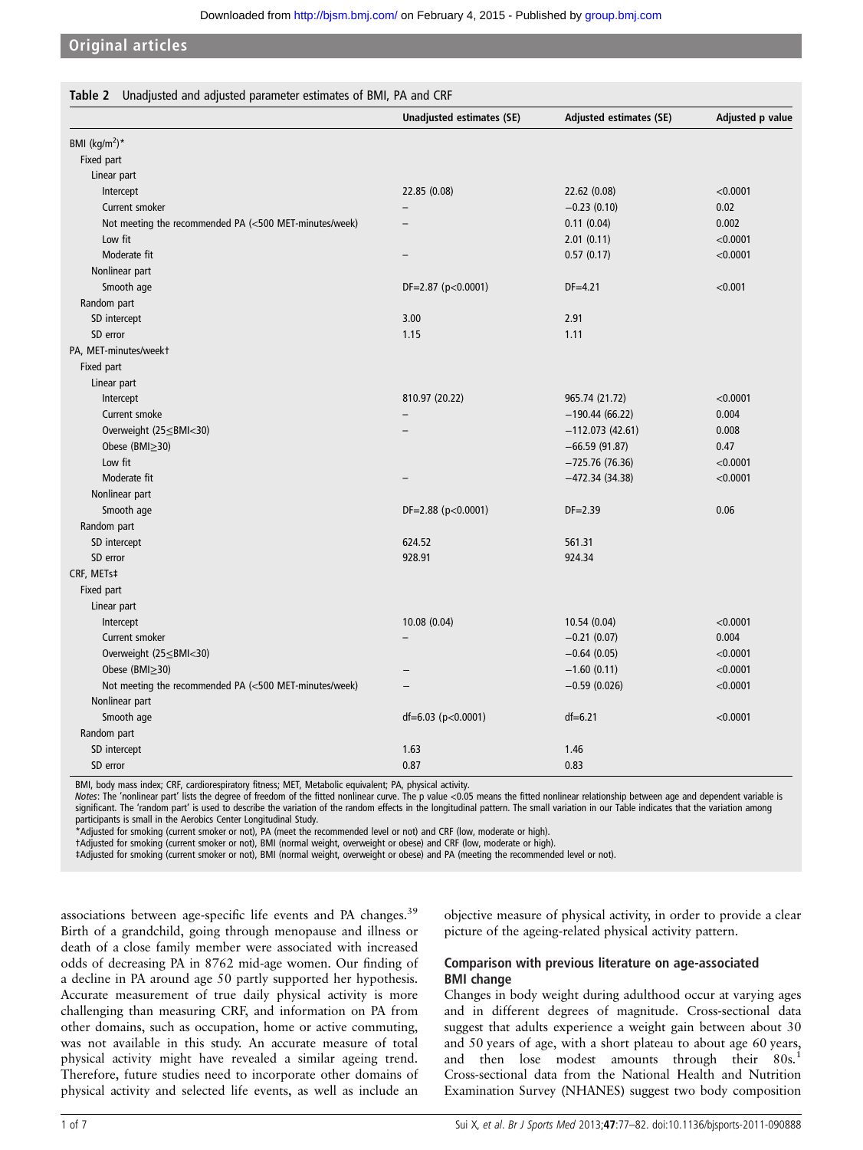#### Original articles

| Table 2 Unadjusted and adjusted parameter estimates of BMI, PA and CRF |                                  |                                |                  |  |
|------------------------------------------------------------------------|----------------------------------|--------------------------------|------------------|--|
|                                                                        | <b>Unadjusted estimates (SE)</b> | <b>Adjusted estimates (SE)</b> | Adjusted p value |  |
| BMI (kg/m <sup>2</sup> )*                                              |                                  |                                |                  |  |
| Fixed part                                                             |                                  |                                |                  |  |
| Linear part                                                            |                                  |                                |                  |  |
| Intercept                                                              | 22.85 (0.08)                     | 22.62 (0.08)                   | < 0.0001         |  |
| Current smoker                                                         |                                  | $-0.23(0.10)$                  | 0.02             |  |
| Not meeting the recommended PA (<500 MET-minutes/week)                 |                                  | 0.11(0.04)                     | 0.002            |  |
| Low fit                                                                |                                  | 2.01(0.11)                     | < 0.0001         |  |
| Moderate fit                                                           | $\overline{\phantom{0}}$         | 0.57(0.17)                     | < 0.0001         |  |
| Nonlinear part                                                         |                                  |                                |                  |  |
| Smooth age                                                             | DF=2.87 (p<0.0001)               | $DF = 4.21$                    | < 0.001          |  |
| Random part                                                            |                                  |                                |                  |  |
| SD intercept                                                           | 3.00                             | 2.91                           |                  |  |
| SD error                                                               | 1.15                             | 1.11                           |                  |  |
| PA, MET-minutes/weekt                                                  |                                  |                                |                  |  |
| Fixed part                                                             |                                  |                                |                  |  |
| Linear part                                                            |                                  |                                |                  |  |
| Intercept                                                              | 810.97 (20.22)                   | 965.74 (21.72)                 | < 0.0001         |  |
| Current smoke                                                          | $\overline{\phantom{0}}$         | $-190.44(66.22)$               | 0.004            |  |
| Overweight (25 ≤ BMI < 30)                                             |                                  | $-112.073(42.61)$              | 0.008            |  |
| Obese ( $BMl \geq 30$ )                                                |                                  | $-66.59(91.87)$                | 0.47             |  |
| Low fit                                                                |                                  | $-725.76(76.36)$               | < 0.0001         |  |
| Moderate fit                                                           |                                  | $-472.34(34.38)$               | < 0.0001         |  |
| Nonlinear part                                                         |                                  |                                |                  |  |
| Smooth age                                                             | $DF=2.88$ ( $p<0.0001$ )         | $DF = 2.39$                    | 0.06             |  |
| Random part                                                            |                                  |                                |                  |  |
| SD intercept                                                           | 624.52                           | 561.31                         |                  |  |
| SD error                                                               | 928.91                           | 924.34                         |                  |  |
| CRF, METs‡                                                             |                                  |                                |                  |  |
| Fixed part                                                             |                                  |                                |                  |  |
| Linear part                                                            |                                  |                                |                  |  |
| Intercept                                                              | 10.08 (0.04)                     | 10.54 (0.04)                   | < 0.0001         |  |
| Current smoker                                                         |                                  | $-0.21(0.07)$                  | 0.004            |  |
| Overweight (25 ≤ BMI < 30)                                             |                                  | $-0.64(0.05)$                  | < 0.0001         |  |
| Obese (BMI $\geq$ 30)                                                  |                                  | $-1.60(0.11)$                  | < 0.0001         |  |
| Not meeting the recommended PA (<500 MET-minutes/week)                 |                                  | $-0.59(0.026)$                 | < 0.0001         |  |
| Nonlinear part                                                         |                                  |                                |                  |  |
| Smooth age                                                             | $df=6.03$ (p<0.0001)             | $df = 6.21$                    | < 0.0001         |  |
| Random part                                                            |                                  |                                |                  |  |
| SD intercept                                                           | 1.63                             | 1.46                           |                  |  |
| SD error                                                               | 0.87                             | 0.83                           |                  |  |

BMI, body mass index; CRF, cardiorespiratory fitness; MET, Metabolic equivalent; PA, physical activity.

Notes: The 'nonlinear part' lists the degree of freedom of the fitted nonlinear curve. The p value <0.05 means the fitted nonlinear relationship between age and dependent variable is significant. The 'random part' is used to describe the variation of the random effects in the longitudinal pattern. The small variation in our Table indicates that the variation among participants is small in the Aerobics Center Longitudinal Study.

\*Adjusted for smoking (current smoker or not), PA (meet the recommended level or not) and CRF (low, moderate or high).

†Adjusted for smoking (current smoker or not), BMI (normal weight, overweight or obese) and CRF (low, moderate or high).

‡Adjusted for smoking (current smoker or not), BMI (normal weight, overweight or obese) and PA (meeting the recommended level or not).

associations between age-specific life events and PA changes.<sup>39</sup> Birth of a grandchild, going through menopause and illness or death of a close family member were associated with increased odds of decreasing PA in 8762 mid-age women. Our finding of a decline in PA around age 50 partly supported her hypothesis. Accurate measurement of true daily physical activity is more challenging than measuring CRF, and information on PA from other domains, such as occupation, home or active commuting, was not available in this study. An accurate measure of total physical activity might have revealed a similar ageing trend. Therefore, future studies need to incorporate other domains of physical activity and selected life events, as well as include an

objective measure of physical activity, in order to provide a clear picture of the ageing-related physical activity pattern.

# Comparison with previous literature on age-associated BMI change

Changes in body weight during adulthood occur at varying ages and in different degrees of magnitude. Cross-sectional data suggest that adults experience a weight gain between about 30 and 50 years of age, with a short plateau to about age 60 years, and then lose modest amounts through their 80s.<sup>1</sup> Cross-sectional data from the National Health and Nutrition Examination Survey (NHANES) suggest two body composition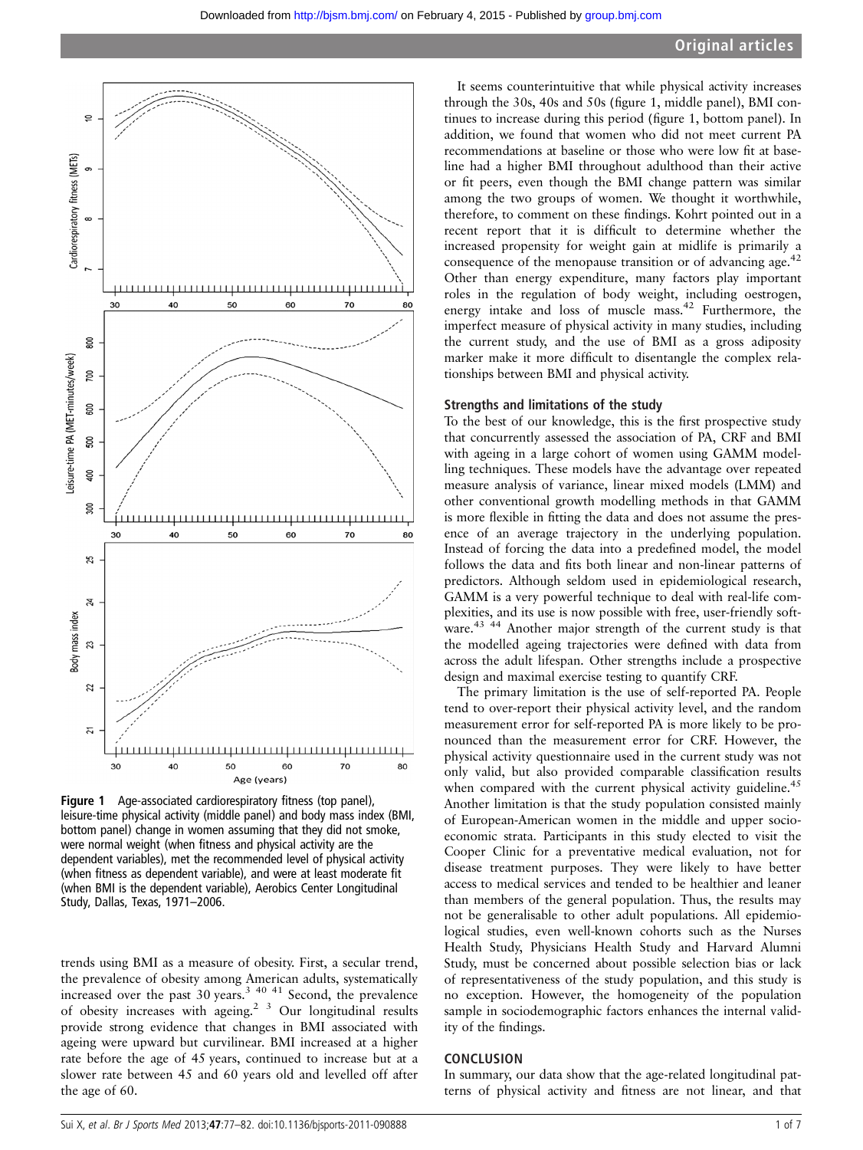

Figure 1 Age-associated cardiorespiratory fitness (top panel), leisure-time physical activity (middle panel) and body mass index (BMI, bottom panel) change in women assuming that they did not smoke, were normal weight (when fitness and physical activity are the dependent variables), met the recommended level of physical activity (when fitness as dependent variable), and were at least moderate fit (when BMI is the dependent variable), Aerobics Center Longitudinal Study, Dallas, Texas, 1971–2006.

trends using BMI as a measure of obesity. First, a secular trend, the prevalence of obesity among American adults, systematically increased over the past 30 years.<sup>3 40 41</sup> Second, the prevalence of obesity increases with ageing.2 3 Our longitudinal results provide strong evidence that changes in BMI associated with ageing were upward but curvilinear. BMI increased at a higher rate before the age of 45 years, continued to increase but at a slower rate between 45 and 60 years old and levelled off after the age of 60.

It seems counterintuitive that while physical activity increases through the 30s, 40s and 50s (figure 1, middle panel), BMI continues to increase during this period (figure 1, bottom panel). In addition, we found that women who did not meet current PA recommendations at baseline or those who were low fit at baseline had a higher BMI throughout adulthood than their active or fit peers, even though the BMI change pattern was similar among the two groups of women. We thought it worthwhile, therefore, to comment on these findings. Kohrt pointed out in a recent report that it is difficult to determine whether the increased propensity for weight gain at midlife is primarily a consequence of the menopause transition or of advancing age.<sup>42</sup> Other than energy expenditure, many factors play important roles in the regulation of body weight, including oestrogen, energy intake and loss of muscle mass.<sup>42</sup> Furthermore, the imperfect measure of physical activity in many studies, including the current study, and the use of BMI as a gross adiposity marker make it more difficult to disentangle the complex relationships between BMI and physical activity.

#### Strengths and limitations of the study

To the best of our knowledge, this is the first prospective study that concurrently assessed the association of PA, CRF and BMI with ageing in a large cohort of women using GAMM modelling techniques. These models have the advantage over repeated measure analysis of variance, linear mixed models (LMM) and other conventional growth modelling methods in that GAMM is more flexible in fitting the data and does not assume the presence of an average trajectory in the underlying population. Instead of forcing the data into a predefined model, the model follows the data and fits both linear and non-linear patterns of predictors. Although seldom used in epidemiological research, GAMM is a very powerful technique to deal with real-life complexities, and its use is now possible with free, user-friendly software.<sup>43 44</sup> Another major strength of the current study is that the modelled ageing trajectories were defined with data from across the adult lifespan. Other strengths include a prospective design and maximal exercise testing to quantify CRF.

The primary limitation is the use of self-reported PA. People tend to over-report their physical activity level, and the random measurement error for self-reported PA is more likely to be pronounced than the measurement error for CRF. However, the physical activity questionnaire used in the current study was not only valid, but also provided comparable classification results when compared with the current physical activity guideline.<sup>45</sup> Another limitation is that the study population consisted mainly of European-American women in the middle and upper socioeconomic strata. Participants in this study elected to visit the Cooper Clinic for a preventative medical evaluation, not for disease treatment purposes. They were likely to have better access to medical services and tended to be healthier and leaner than members of the general population. Thus, the results may not be generalisable to other adult populations. All epidemiological studies, even well-known cohorts such as the Nurses Health Study, Physicians Health Study and Harvard Alumni Study, must be concerned about possible selection bias or lack of representativeness of the study population, and this study is no exception. However, the homogeneity of the population sample in sociodemographic factors enhances the internal validity of the findings.

#### **CONCLUSION**

In summary, our data show that the age-related longitudinal patterns of physical activity and fitness are not linear, and that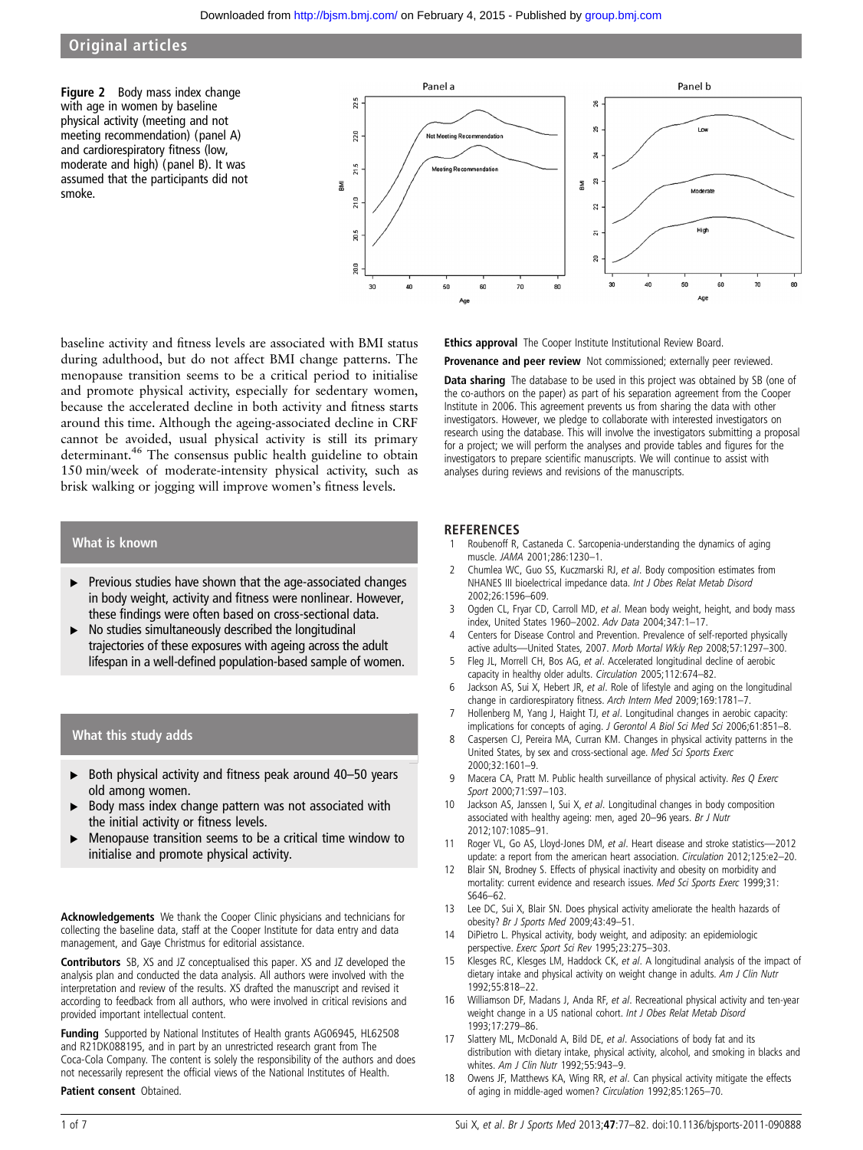# Original articles

Figure 2 Body mass index change with age in women by baseline physical activity (meeting and not meeting recommendation) (panel A) and cardiorespiratory fitness (low, moderate and high) (panel B). It was assumed that the participants did not smoke.



baseline activity and fitness levels are associated with BMI status during adulthood, but do not affect BMI change patterns. The menopause transition seems to be a critical period to initialise and promote physical activity, especially for sedentary women, because the accelerated decline in both activity and fitness starts around this time. Although the ageing-associated decline in CRF cannot be avoided, usual physical activity is still its primary determinant.<sup>46</sup> The consensus public health guideline to obtain 150 min/week of moderate-intensity physical activity, such as brisk walking or jogging will improve women's fitness levels.

# What is known

- ▸ Previous studies have shown that the age-associated changes in body weight, activity and fitness were nonlinear. However, these findings were often based on cross-sectional data.
- No studies simultaneously described the longitudinal trajectories of these exposures with ageing across the adult lifespan in a well-defined population-based sample of women.

# What this study adds

- $\triangleright$  Both physical activity and fitness peak around 40-50 years old among women.
- Body mass index change pattern was not associated with the initial activity or fitness levels.
- ▸ Menopause transition seems to be a critical time window to initialise and promote physical activity.

Acknowledgements We thank the Cooper Clinic physicians and technicians for collecting the baseline data, staff at the Cooper Institute for data entry and data management, and Gaye Christmus for editorial assistance.

Contributors SB, XS and JZ conceptualised this paper. XS and JZ developed the analysis plan and conducted the data analysis. All authors were involved with the interpretation and review of the results. XS drafted the manuscript and revised it according to feedback from all authors, who were involved in critical revisions and provided important intellectual content.

Funding Supported by National Institutes of Health grants AG06945, HL62508 and R21DK088195, and in part by an unrestricted research grant from The Coca-Cola Company. The content is solely the responsibility of the authors and does not necessarily represent the official views of the National Institutes of Health.

#### Patient consent Obtained.

Ethics approval The Cooper Institute Institutional Review Board.

Provenance and peer review Not commissioned; externally peer reviewed.

Data sharing The database to be used in this project was obtained by SB (one of the co-authors on the paper) as part of his separation agreement from the Cooper Institute in 2006. This agreement prevents us from sharing the data with other investigators. However, we pledge to collaborate with interested investigators on research using the database. This will involve the investigators submitting a proposal for a project; we will perform the analyses and provide tables and figures for the investigators to prepare scientific manuscripts. We will continue to assist with analyses during reviews and revisions of the manuscripts.

# **REFERENCES**<br>1 Roubenoff R

- Roubenoff R, Castaneda C. Sarcopenia-understanding the dynamics of aging muscle. JAMA 2001;286:1230–1.
- 2 Chumlea WC, Guo SS, Kuczmarski RJ, et al. Body composition estimates from NHANES III bioelectrical impedance data. Int J Obes Relat Metab Disord 2002;26:1596–609.
- 3 Ogden CL, Fryar CD, Carroll MD, et al. Mean body weight, height, and body mass index, United States 1960–2002. Adv Data 2004;347:1–17.
- 4 Centers for Disease Control and Prevention. Prevalence of self-reported physically active adults—United States, 2007. Morb Mortal Wkly Rep 2008;57:1297–300.
- 5 Fleg JL, Morrell CH, Bos AG, et al. Accelerated longitudinal decline of aerobic capacity in healthy older adults. Circulation 2005;112:674–82.
- 6 Jackson AS, Sui X, Hebert JR, et al. Role of lifestyle and aging on the longitudinal change in cardiorespiratory fitness. Arch Intern Med 2009;169:1781-7.
- Hollenberg M, Yang J, Haight TJ, et al. Longitudinal changes in aerobic capacity: implications for concepts of aging. J Gerontol A Biol Sci Med Sci 2006;61:851–8.
- 8 Caspersen CJ, Pereira MA, Curran KM. Changes in physical activity patterns in the United States, by sex and cross-sectional age. Med Sci Sports Exerc 2000;32:1601–9.
- Macera CA, Pratt M. Public health surveillance of physical activity. Res Q Exerc Sport 2000;71:S97–103.
- 10 Jackson AS, Janssen I, Sui X, et al. Longitudinal changes in body composition associated with healthy ageing: men, aged 20–96 years. Br J Nutr 2012;107:1085–91.
- 11 Roger VL, Go AS, Lloyd-Jones DM, et al. Heart disease and stroke statistics-2012 update: a report from the american heart association. Circulation 2012;125:e2–20.
- 12 Blair SN, Brodney S. Effects of physical inactivity and obesity on morbidity and mortality: current evidence and research issues. Med Sci Sports Exerc 1999;31: S646–62.
- 13 Lee DC, Sui X, Blair SN. Does physical activity ameliorate the health hazards of obesity? Br J Sports Med 2009;43:49–51.
- 14 DiPietro L. Physical activity, body weight, and adiposity: an epidemiologic perspective. Exerc Sport Sci Rev 1995;23:275-303.
- 15 Klesges RC, Klesges LM, Haddock CK, et al. A longitudinal analysis of the impact of dietary intake and physical activity on weight change in adults. Am J Clin Nutr 1992;55:818–22.
- 16 Williamson DF, Madans J, Anda RF, et al. Recreational physical activity and ten-year weight change in a US national cohort. Int J Obes Relat Metab Disord 1993;17:279–86.
- 17 Slattery ML, McDonald A, Bild DE, et al. Associations of body fat and its distribution with dietary intake, physical activity, alcohol, and smoking in blacks and whites. Am J Clin Nutr 1992;55:943-9.
- 18 Owens JF, Matthews KA, Wing RR, et al. Can physical activity mitigate the effects of aging in middle-aged women? Circulation 1992;85:1265–70.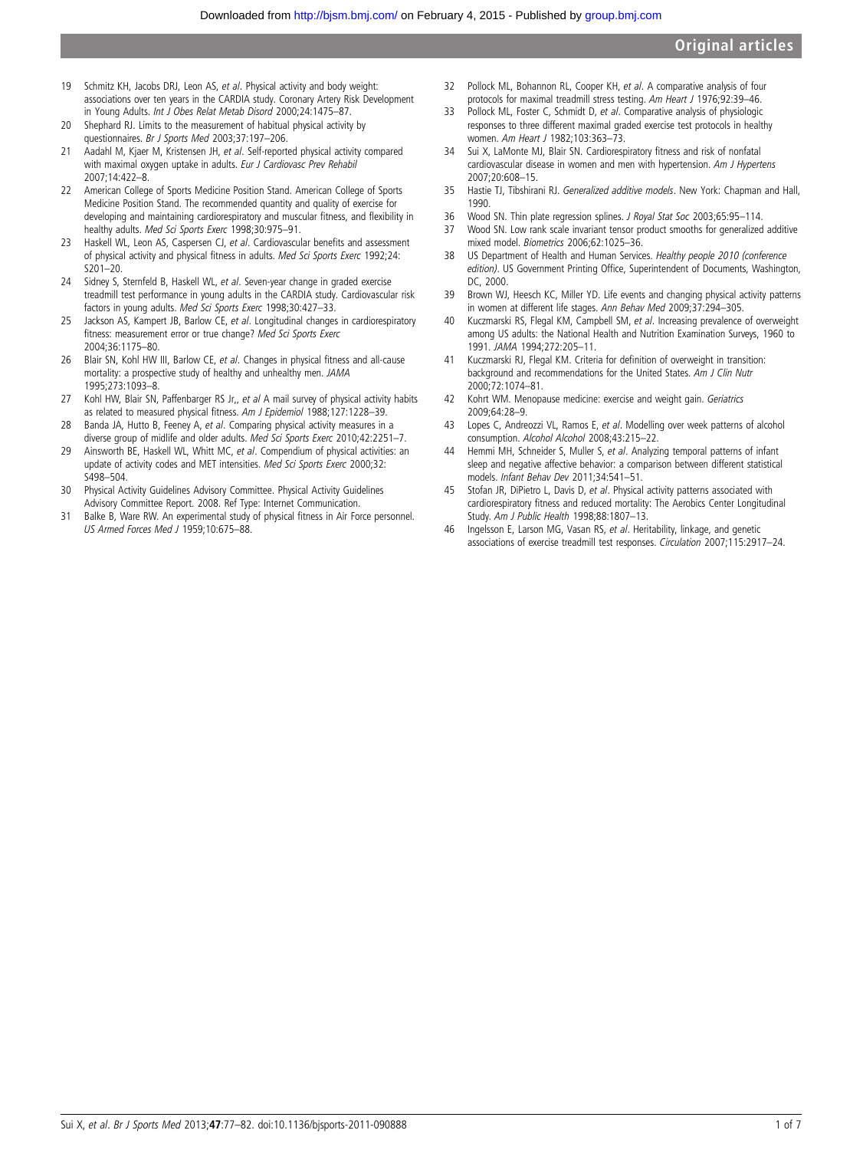- 19 Schmitz KH, Jacobs DRJ, Leon AS, et al. Physical activity and body weight: associations over ten years in the CARDIA study. Coronary Artery Risk Development in Young Adults. Int J Obes Relat Metab Disord 2000;24:1475–87.
- 20 Shephard RJ. Limits to the measurement of habitual physical activity by questionnaires. Br J Sports Med 2003;37:197–206.
- 21 Aadahl M, Kjaer M, Kristensen JH, et al. Self-reported physical activity compared with maximal oxygen uptake in adults. Eur J Cardiovasc Prev Rehabil 2007;14:422–8.
- 22 American College of Sports Medicine Position Stand. American College of Sports Medicine Position Stand. The recommended quantity and quality of exercise for developing and maintaining cardiorespiratory and muscular fitness, and flexibility in healthy adults. Med Sci Sports Exerc 1998;30:975–91.
- 23 Haskell WL, Leon AS, Caspersen CJ, et al. Cardiovascular benefits and assessment of physical activity and physical fitness in adults. Med Sci Sports Exerc 1992;24: S201–20.
- 24 Sidney S, Sternfeld B, Haskell WL, et al. Seven-year change in graded exercise treadmill test performance in young adults in the CARDIA study. Cardiovascular risk factors in young adults. Med Sci Sports Exerc 1998;30:427–33.
- 25 Jackson AS, Kampert JB, Barlow CE, et al. Longitudinal changes in cardiorespiratory fitness: measurement error or true change? Med Sci Sports Exerc 2004;36:1175–80.
- 26 Blair SN, Kohl HW III, Barlow CE, et al. Changes in physical fitness and all-cause mortality: a prospective study of healthy and unhealthy men. JAMA 1995;273:1093–8.
- 27 Kohl HW, Blair SN, Paffenbarger RS Jr,, et al A mail survey of physical activity habits as related to measured physical fitness. Am J Epidemiol 1988;127:1228-39.
- 28 Banda JA, Hutto B, Feeney A, et al. Comparing physical activity measures in a diverse group of midlife and older adults. Med Sci Sports Exerc 2010;42:2251–7.
- 29 Ainsworth BE, Haskell WL, Whitt MC, et al. Compendium of physical activities: an update of activity codes and MET intensities. Med Sci Sports Exerc 2000;32: S498–504.
- 30 Physical Activity Guidelines Advisory Committee. Physical Activity Guidelines Advisory Committee Report. 2008. Ref Type: Internet Communication.
- 31 Balke B, Ware RW. An experimental study of physical fitness in Air Force personnel. US Armed Forces Med J 1959;10:675–88.
- 32 Pollock ML, Bohannon RL, Cooper KH, et al. A comparative analysis of four protocols for maximal treadmill stress testing. Am Heart J 1976;92:39-46.
- 33 Pollock ML, Foster C, Schmidt D, et al. Comparative analysis of physiologic responses to three different maximal graded exercise test protocols in healthy women. Am Heart J 1982;103:363–73.
- 34 Sui X, LaMonte MJ, Blair SN. Cardiorespiratory fitness and risk of nonfatal cardiovascular disease in women and men with hypertension. Am J Hypertens 2007;20:608–15.
- 35 Hastie TJ, Tibshirani RJ. Generalized additive models. New York: Chapman and Hall, 1990.
- 36 Wood SN. Thin plate regression splines. J Royal Stat Soc 2003;65:95–114.
- 37 Wood SN. Low rank scale invariant tensor product smooths for generalized additive mixed model. Biometrics 2006;62:1025-36.
- 38 US Department of Health and Human Services. Healthy people 2010 (conference edition). US Government Printing Office, Superintendent of Documents, Washington, DC, 2000.
- 39 Brown WJ, Heesch KC, Miller YD. Life events and changing physical activity patterns in women at different life stages. Ann Behav Med 2009;37:294–305.
- 40 Kuczmarski RS, Flegal KM, Campbell SM, et al. Increasing prevalence of overweight among US adults: the National Health and Nutrition Examination Surveys, 1960 to 1991. JAMA 1994;272:205–11.
- 41 Kuczmarski RJ, Flegal KM. Criteria for definition of overweight in transition: background and recommendations for the United States. Am J Clin Nutr 2000;72:1074–81.
- 42 Kohrt WM. Menopause medicine: exercise and weight gain. Geriatrics 2009;64:28–9.
- 43 Lopes C, Andreozzi VL, Ramos E, et al. Modelling over week patterns of alcohol consumption. Alcohol Alcohol 2008;43:215–22.
- 44 Hemmi MH, Schneider S, Muller S, et al. Analyzing temporal patterns of infant sleep and negative affective behavior: a comparison between different statistical models. Infant Behav Dev 2011;34:541–51.
- 45 Stofan JR, DiPietro L, Davis D, et al. Physical activity patterns associated with cardiorespiratory fitness and reduced mortality: The Aerobics Center Longitudinal Study. Am J Public Health 1998;88:1807–13.
- 46 Ingelsson E, Larson MG, Vasan RS, et al. Heritability, linkage, and genetic associations of exercise treadmill test responses. Circulation 2007;115:2917–24.